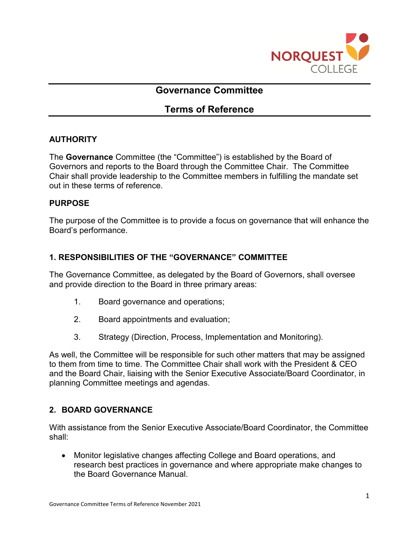

# **Governance Committee**

# **Terms of Reference**

## **AUTHORITY**

The **Governance** Committee (the "Committee") is established by the Board of Governors and reports to the Board through the Committee Chair. The Committee Chair shall provide leadership to the Committee members in fulfilling the mandate set out in these terms of reference.

#### **PURPOSE**

The purpose of the Committee is to provide a focus on governance that will enhance the Board's performance.

## **1. RESPONSIBILITIES OF THE "GOVERNANCE" COMMITTEE**

The Governance Committee, as delegated by the Board of Governors, shall oversee and provide direction to the Board in three primary areas:

- 1. Board governance and operations;
- 2. Board appointments and evaluation;
- 3. Strategy (Direction, Process, Implementation and Monitoring).

As well, the Committee will be responsible for such other matters that may be assigned to them from time to time. The Committee Chair shall work with the President & CEO and the Board Chair, liaising with the Senior Executive Associate/Board Coordinator, in planning Committee meetings and agendas.

# **2. BOARD GOVERNANCE**

With assistance from the Senior Executive Associate/Board Coordinator, the Committee shall:

• Monitor legislative changes affecting College and Board operations, and research best practices in governance and where appropriate make changes to the Board Governance Manual.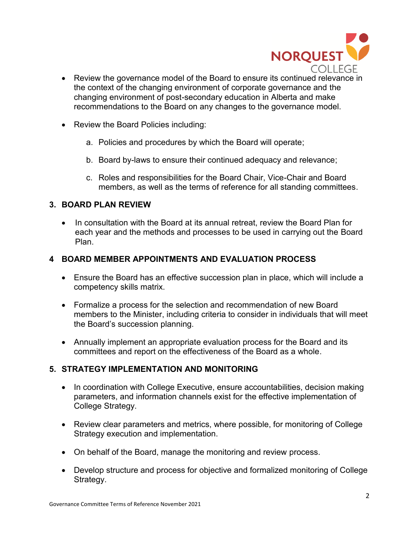

- Review the governance model of the Board to ensure its continued relevance in the context of the changing environment of corporate governance and the changing environment of post-secondary education in Alberta and make recommendations to the Board on any changes to the governance model.
- Review the Board Policies including:
	- a. Policies and procedures by which the Board will operate;
	- b. Board by-laws to ensure their continued adequacy and relevance;
	- c. Roles and responsibilities for the Board Chair, Vice-Chair and Board members, as well as the terms of reference for all standing committees.

## **3. BOARD PLAN REVIEW**

• In consultation with the Board at its annual retreat, review the Board Plan for each year and the methods and processes to be used in carrying out the Board Plan.

## **4 BOARD MEMBER APPOINTMENTS AND EVALUATION PROCESS**

- Ensure the Board has an effective succession plan in place, which will include a competency skills matrix.
- Formalize a process for the selection and recommendation of new Board members to the Minister, including criteria to consider in individuals that will meet the Board's succession planning.
- Annually implement an appropriate evaluation process for the Board and its committees and report on the effectiveness of the Board as a whole.

## **5. STRATEGY IMPLEMENTATION AND MONITORING**

- In coordination with College Executive, ensure accountabilities, decision making parameters, and information channels exist for the effective implementation of College Strategy.
- Review clear parameters and metrics, where possible, for monitoring of College Strategy execution and implementation.
- On behalf of the Board, manage the monitoring and review process.
- Develop structure and process for objective and formalized monitoring of College Strategy.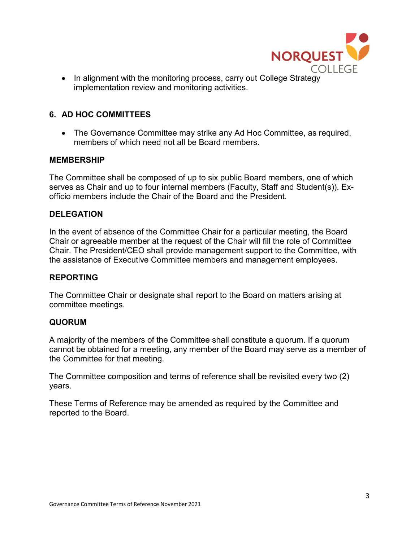

• In alignment with the monitoring process, carry out College Strategy implementation review and monitoring activities.

## **6. AD HOC COMMITTEES**

• The Governance Committee may strike any Ad Hoc Committee, as required, members of which need not all be Board members.

#### **MEMBERSHIP**

The Committee shall be composed of up to six public Board members, one of which serves as Chair and up to four internal members (Faculty, Staff and Student(s)). Exofficio members include the Chair of the Board and the President.

## **DELEGATION**

In the event of absence of the Committee Chair for a particular meeting, the Board Chair or agreeable member at the request of the Chair will fill the role of Committee Chair. The President/CEO shall provide management support to the Committee, with the assistance of Executive Committee members and management employees.

#### **REPORTING**

The Committee Chair or designate shall report to the Board on matters arising at committee meetings.

#### **QUORUM**

A majority of the members of the Committee shall constitute a quorum. If a quorum cannot be obtained for a meeting, any member of the Board may serve as a member of the Committee for that meeting.

The Committee composition and terms of reference shall be revisited every two (2) years.

These Terms of Reference may be amended as required by the Committee and reported to the Board.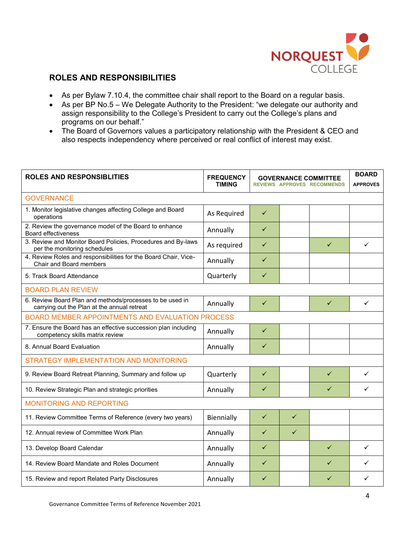

## **ROLES AND RESPONSIBILITIES**

- As per Bylaw 7.10.4, the committee chair shall report to the Board on a regular basis.
- As per BP No.5 We Delegate Authority to the President: "we delegate our authority and assign responsibility to the College's President to carry out the College's plans and programs on our behalf."
- The Board of Governors values a participatory relationship with the President & CEO and also respects independency where perceived or real conflict of interest may exist.

| <b>ROLES AND RESPONSIBLITIES</b>                                                                        | <b>FREQUENCY</b><br><b>TIMING</b> | <b>GOVERNANCE COMMITTEE</b><br><b>REVIEWS APPROVES RECOMMENDS</b> |              | <b>BOARD</b><br><b>APPROVES</b> |              |  |  |
|---------------------------------------------------------------------------------------------------------|-----------------------------------|-------------------------------------------------------------------|--------------|---------------------------------|--------------|--|--|
| <b>GOVERNANCE</b>                                                                                       |                                   |                                                                   |              |                                 |              |  |  |
| 1. Monitor legislative changes affecting College and Board<br>operations                                | As Required                       | $\checkmark$                                                      |              |                                 |              |  |  |
| 2. Review the governance model of the Board to enhance<br>Board effectiveness                           | Annually                          | ✓                                                                 |              |                                 |              |  |  |
| 3. Review and Monitor Board Policies, Procedures and By-laws<br>per the monitoring schedules            | As required                       | $\checkmark$                                                      |              | $\checkmark$                    | $\checkmark$ |  |  |
| 4. Review Roles and responsibilities for the Board Chair, Vice-<br>Chair and Board members              | Annually                          | $\checkmark$                                                      |              |                                 |              |  |  |
| 5. Track Board Attendance                                                                               | Quarterly                         | ✓                                                                 |              |                                 |              |  |  |
| <b>BOARD PLAN REVIEW</b>                                                                                |                                   |                                                                   |              |                                 |              |  |  |
| 6. Review Board Plan and methods/processes to be used in<br>carrying out the Plan at the annual retreat | Annually                          | $\checkmark$                                                      |              | $\checkmark$                    | ✓            |  |  |
| <b>BOARD MEMBER APPOINTMENTS AND EVALUATION PROCESS</b>                                                 |                                   |                                                                   |              |                                 |              |  |  |
| 7. Ensure the Board has an effective succession plan including<br>competency skills matrix review       | Annually                          | $\checkmark$                                                      |              |                                 |              |  |  |
| 8. Annual Board Evaluation                                                                              | Annually                          | $\checkmark$                                                      |              |                                 |              |  |  |
| <b>STRATEGY IMPLEMENTATION AND MONITORING</b>                                                           |                                   |                                                                   |              |                                 |              |  |  |
| 9. Review Board Retreat Planning, Summary and follow up                                                 | Quarterly                         | $\checkmark$                                                      |              | ✓                               | $\checkmark$ |  |  |
| 10. Review Strategic Plan and strategic priorities                                                      | Annually                          | ✓                                                                 |              | ✓                               | ✓            |  |  |
| <b>MONITORING AND REPORTING</b>                                                                         |                                   |                                                                   |              |                                 |              |  |  |
| 11. Review Committee Terms of Reference (every two years)                                               | Biennially                        | $\checkmark$                                                      | $\checkmark$ |                                 |              |  |  |
| 12. Annual review of Committee Work Plan                                                                | Annually                          | ✓                                                                 | ✓            |                                 |              |  |  |
| 13. Develop Board Calendar                                                                              | Annually                          | ✓                                                                 |              | ✓                               | $\checkmark$ |  |  |
| 14. Review Board Mandate and Roles Document                                                             | Annually                          | ✓                                                                 |              | ✓                               | ✓            |  |  |
| 15. Review and report Related Party Disclosures                                                         | Annually                          | ✓                                                                 |              | ✓                               | ✓            |  |  |